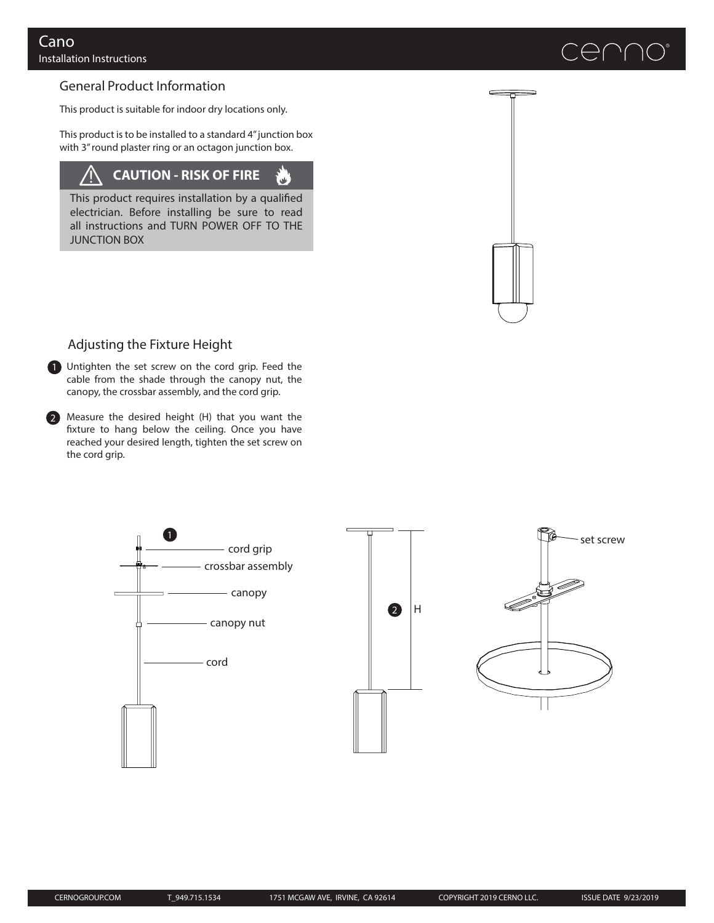# $\bigoplus$  ( )(

## General Product Information

This product is suitable for indoor dry locations only.

This product is to be installed to a standard 4" junction box with 3" round plaster ring or an octagon junction box.

#### **CAUTION - RISK OF FIRE** /<u>|</u>

 $\mathbf{v}$ 

This product requires installation by a qualified electrician. Before installing be sure to read all instructions and TURN POWER OFF TO THE JUNCTION BOX



### Adjusting the Fixture Height

1 Untighten the set screw on the cord grip. Feed the cable from the shade through the canopy nut, the canopy, the crossbar assembly, and the cord grip.

2 Measure the desired height (H) that you want the fixture to hang below the ceiling. Once you have reached your desired length, tighten the set screw on the cord grip.